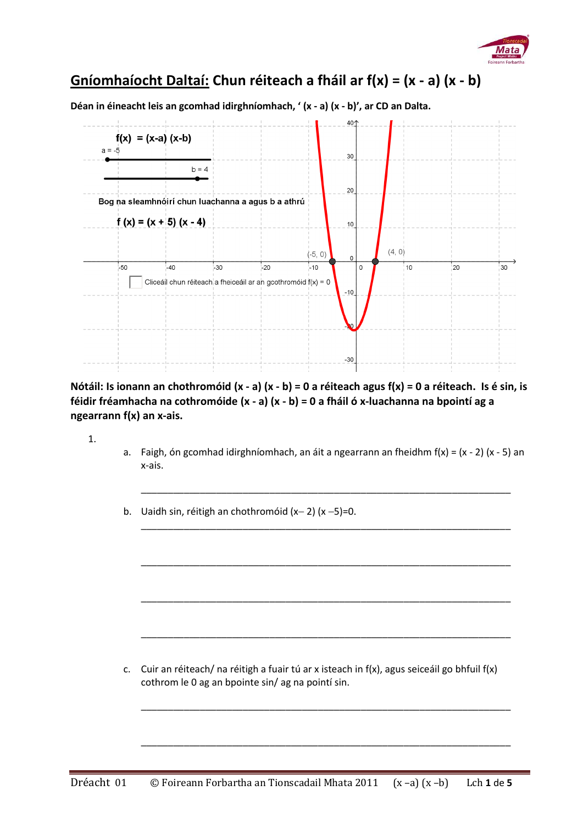

## **Gníomhaíocht Daltaí: Chun réiteach a fháil ar f(x) = (x - a) (x - b)**

**Déan in éineacht leis an gcomhad idirghníomhach, ' (x - a) (x - b)', ar CD an Dalta.**



**Nótáil: Is ionann an chothromóid (x - a) (x - b) = 0 a réiteach agus f(x) = 0 a réiteach. Is é sin, is féidir fréamhacha na cothromóide (x - a) (x - b) = 0 a fháil ó x-luachanna na bpointí ag a ngearrann f(x) an x-ais.**

1.

a. Faigh, ón gcomhad idirghníomhach, an áit a ngearrann an fheidhm  $f(x) = (x - 2)(x - 5)$  an x-ais.

\_\_\_\_\_\_\_\_\_\_\_\_\_\_\_\_\_\_\_\_\_\_\_\_\_\_\_\_\_\_\_\_\_\_\_\_\_\_\_\_\_\_\_\_\_\_\_\_\_\_\_\_\_\_\_\_\_\_\_\_\_\_\_\_\_\_\_\_\_

\_\_\_\_\_\_\_\_\_\_\_\_\_\_\_\_\_\_\_\_\_\_\_\_\_\_\_\_\_\_\_\_\_\_\_\_\_\_\_\_\_\_\_\_\_\_\_\_\_\_\_\_\_\_\_\_\_\_\_\_\_\_\_\_\_\_\_\_\_

\_\_\_\_\_\_\_\_\_\_\_\_\_\_\_\_\_\_\_\_\_\_\_\_\_\_\_\_\_\_\_\_\_\_\_\_\_\_\_\_\_\_\_\_\_\_\_\_\_\_\_\_\_\_\_\_\_\_\_\_\_\_\_\_\_\_\_\_\_

\_\_\_\_\_\_\_\_\_\_\_\_\_\_\_\_\_\_\_\_\_\_\_\_\_\_\_\_\_\_\_\_\_\_\_\_\_\_\_\_\_\_\_\_\_\_\_\_\_\_\_\_\_\_\_\_\_\_\_\_\_\_\_\_\_\_\_\_\_

\_\_\_\_\_\_\_\_\_\_\_\_\_\_\_\_\_\_\_\_\_\_\_\_\_\_\_\_\_\_\_\_\_\_\_\_\_\_\_\_\_\_\_\_\_\_\_\_\_\_\_\_\_\_\_\_\_\_\_\_\_\_\_\_\_\_\_\_\_

\_\_\_\_\_\_\_\_\_\_\_\_\_\_\_\_\_\_\_\_\_\_\_\_\_\_\_\_\_\_\_\_\_\_\_\_\_\_\_\_\_\_\_\_\_\_\_\_\_\_\_\_\_\_\_\_\_\_\_\_\_\_\_\_\_\_\_\_\_

\_\_\_\_\_\_\_\_\_\_\_\_\_\_\_\_\_\_\_\_\_\_\_\_\_\_\_\_\_\_\_\_\_\_\_\_\_\_\_\_\_\_\_\_\_\_\_\_\_\_\_\_\_\_\_\_\_\_\_\_\_\_\_\_\_\_\_\_\_

b. Uaidh sin, réitigh an chothromóid  $(x-2)$   $(x-5)=0$ .

c. Cuir an réiteach/ na réitigh a fuair tú ar x isteach in f(x), agus seiceáil go bhfuil f(x) cothrom le 0 ag an bpointe sin/ ag na pointí sin.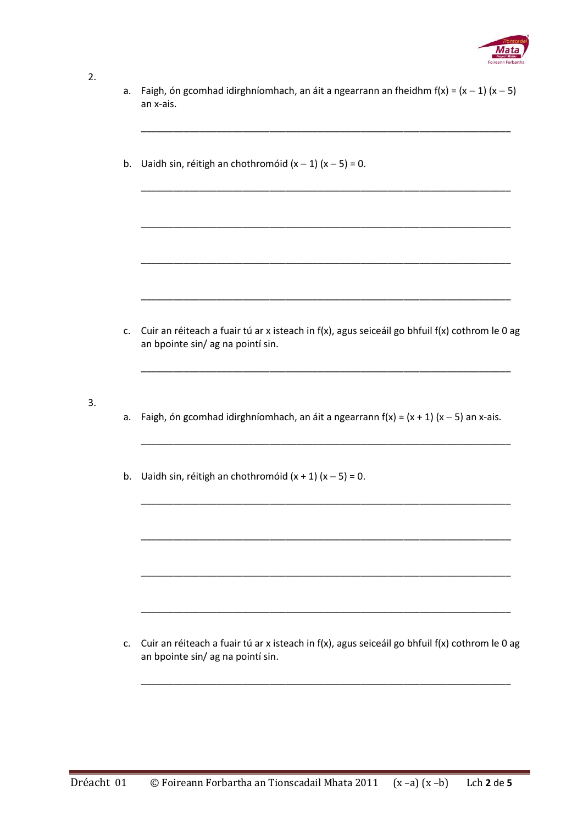

## $2.$

- a. Faigh, ón gcomhad idirghníomhach, an áit a ngearrann an fheidhm  $f(x) = (x 1)(x 5)$ an x-ais.
- b. Uaidh sin, réitigh an chothromóid  $(x 1)(x 5) = 0$ .

c. Cuir an réiteach a fuair tú ar x isteach in f(x), agus seiceáil go bhfuil f(x) cothrom le 0 ag an bpointe sin/ag na pointí sin.

 $3.$ 

- a. Faigh, ón gcomhad idirghníomhach, an áit a ngearrann  $f(x) = (x + 1)(x 5)$  an x-ais.
- b. Uaidh sin, réitigh an chothromóid  $(x + 1)(x 5) = 0$ .

c. Cuir an réiteach a fuair tú ar x isteach in f(x), agus seiceáil go bhfuil f(x) cothrom le 0 ag an bpointe sin/ ag na pointí sin.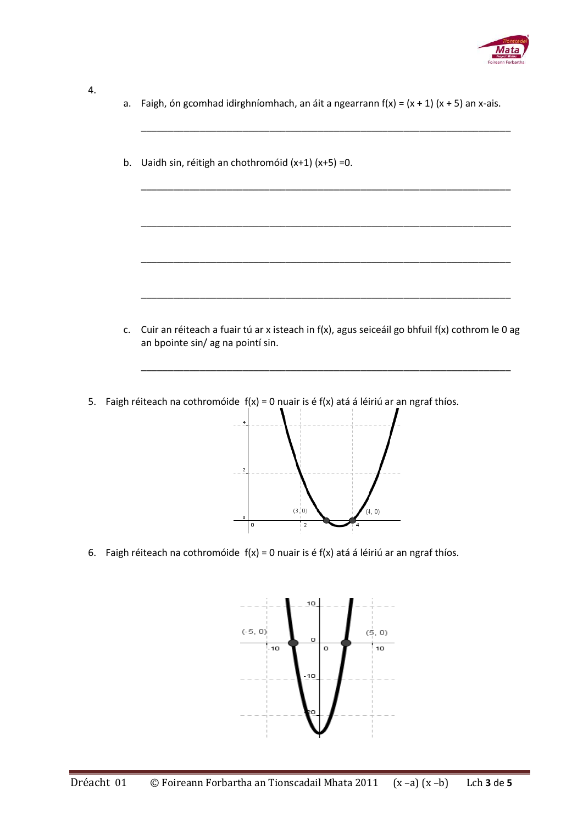

## 4.

a. Faigh, ón gcomhad idirghníomhach, an áit a ngearrann  $f(x) = (x + 1)(x + 5)$  an x-ais.

\_\_\_\_\_\_\_\_\_\_\_\_\_\_\_\_\_\_\_\_\_\_\_\_\_\_\_\_\_\_\_\_\_\_\_\_\_\_\_\_\_\_\_\_\_\_\_\_\_\_\_\_\_\_\_\_\_\_\_\_\_\_\_\_\_\_\_\_\_

\_\_\_\_\_\_\_\_\_\_\_\_\_\_\_\_\_\_\_\_\_\_\_\_\_\_\_\_\_\_\_\_\_\_\_\_\_\_\_\_\_\_\_\_\_\_\_\_\_\_\_\_\_\_\_\_\_\_\_\_\_\_\_\_\_\_\_\_\_

\_\_\_\_\_\_\_\_\_\_\_\_\_\_\_\_\_\_\_\_\_\_\_\_\_\_\_\_\_\_\_\_\_\_\_\_\_\_\_\_\_\_\_\_\_\_\_\_\_\_\_\_\_\_\_\_\_\_\_\_\_\_\_\_\_\_\_\_\_

\_\_\_\_\_\_\_\_\_\_\_\_\_\_\_\_\_\_\_\_\_\_\_\_\_\_\_\_\_\_\_\_\_\_\_\_\_\_\_\_\_\_\_\_\_\_\_\_\_\_\_\_\_\_\_\_\_\_\_\_\_\_\_\_\_\_\_\_\_

\_\_\_\_\_\_\_\_\_\_\_\_\_\_\_\_\_\_\_\_\_\_\_\_\_\_\_\_\_\_\_\_\_\_\_\_\_\_\_\_\_\_\_\_\_\_\_\_\_\_\_\_\_\_\_\_\_\_\_\_\_\_\_\_\_\_\_\_\_

b. Uaidh sin, réitigh an chothromóid (x+1) (x+5) =0.

c. Cuir an réiteach a fuair tú ar x isteach in f(x), agus seiceáil go bhfuil f(x) cothrom le 0 ag an bpointe sin/ ag na pointí sin.

\_\_\_\_\_\_\_\_\_\_\_\_\_\_\_\_\_\_\_\_\_\_\_\_\_\_\_\_\_\_\_\_\_\_\_\_\_\_\_\_\_\_\_\_\_\_\_\_\_\_\_\_\_\_\_\_\_\_\_\_\_\_\_\_\_\_\_\_\_

5. Faigh réiteach na cothromóide  $f(x) = 0$  nuair is é  $f(x)$  atá á léiriú ar an ngraf thíos.



6. Faigh réiteach na cothromóide  $f(x) = 0$  nuair is é  $f(x)$  atá á léiriú ar an ngraf thíos.

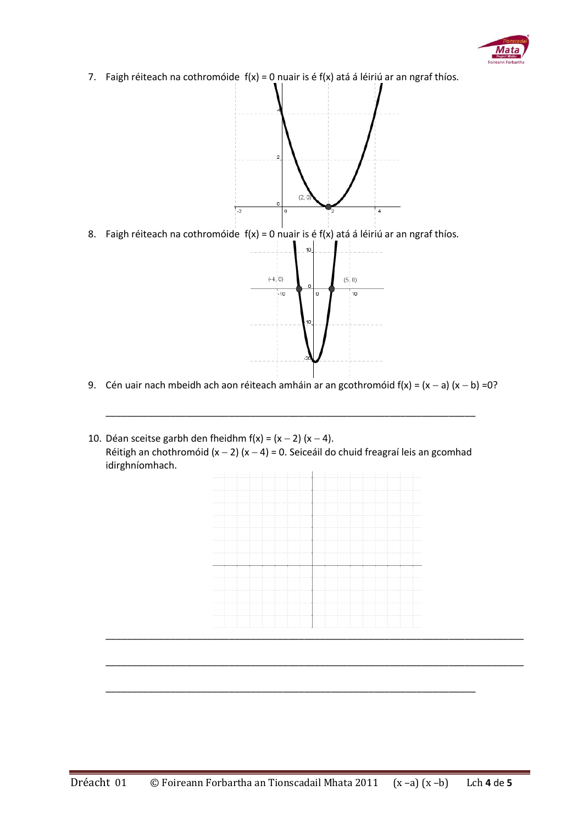

7. Faigh réiteach na cothromóide  $f(x) = 0$  nuair is é  $f(x)$  atá á léiriú ar an ngraf thíos.



8. Faigh réiteach na cothromóide  $f(x) = 0$  nuair is é  $f(x)$  atá á léiriú ar an ngraf thíos.



9. Cén uair nach mbeidh ach aon réiteach amháin ar an gcothromóid  $f(x) = (x - a)(x - b) = 0$ ?

\_\_\_\_\_\_\_\_\_\_\_\_\_\_\_\_\_\_\_\_\_\_\_\_\_\_\_\_\_\_\_\_\_\_\_\_\_\_\_\_\_\_\_\_\_\_\_\_\_\_\_\_\_\_\_\_\_\_\_\_\_\_\_\_\_\_\_\_\_

10. Déan sceitse garbh den fheidhm  $f(x) = (x - 2)(x - 4)$ . Réitigh an chothromóid (x - 2) (x - 4) = 0. Seiceáil do chuid freagraí leis an gcomhad idirghníomhach.



\_\_\_\_\_\_\_\_\_\_\_\_\_\_\_\_\_\_\_\_\_\_\_\_\_\_\_\_\_\_\_\_\_\_\_\_\_\_\_\_\_\_\_\_\_\_\_\_\_\_\_\_\_\_\_\_\_\_\_\_\_\_\_\_\_\_\_\_\_\_\_\_\_\_\_\_\_\_

\_\_\_\_\_\_\_\_\_\_\_\_\_\_\_\_\_\_\_\_\_\_\_\_\_\_\_\_\_\_\_\_\_\_\_\_\_\_\_\_\_\_\_\_\_\_\_\_\_\_\_\_\_\_\_\_\_\_\_\_\_\_\_\_\_\_\_\_\_